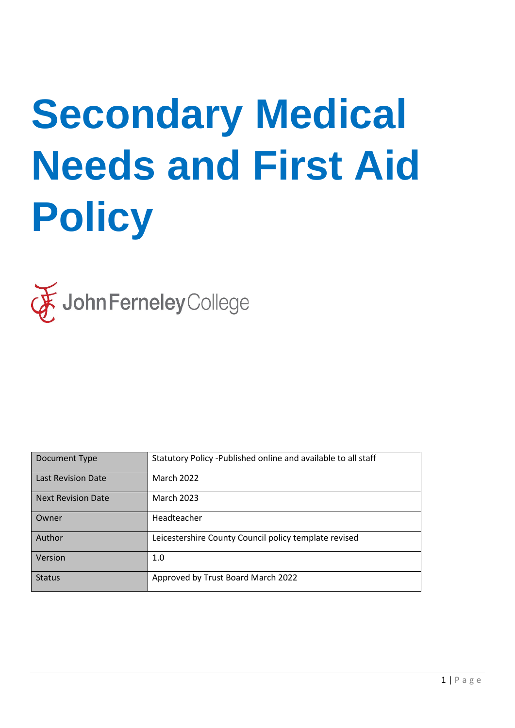# **Secondary Medical Needs and First Aid Policy**



| Document Type             | Statutory Policy - Published online and available to all staff |
|---------------------------|----------------------------------------------------------------|
| <b>Last Revision Date</b> | <b>March 2022</b>                                              |
| <b>Next Revision Date</b> | <b>March 2023</b>                                              |
| Owner                     | Headteacher                                                    |
| Author                    | Leicestershire County Council policy template revised          |
| Version                   | 1.0                                                            |
| <b>Status</b>             | Approved by Trust Board March 2022                             |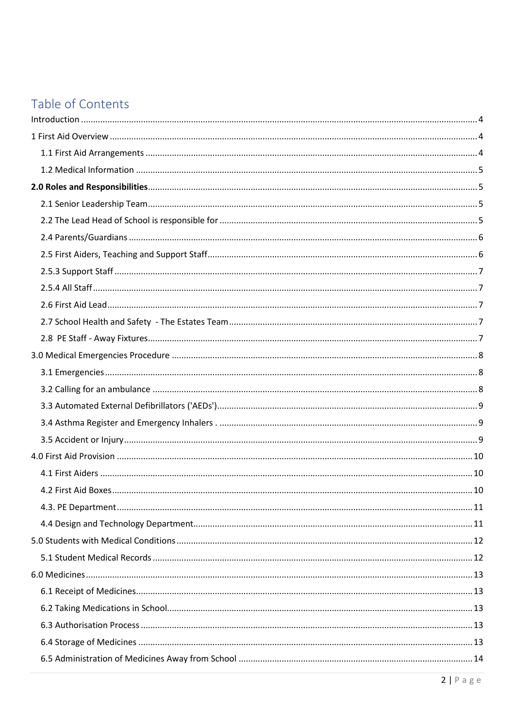## Table of Contents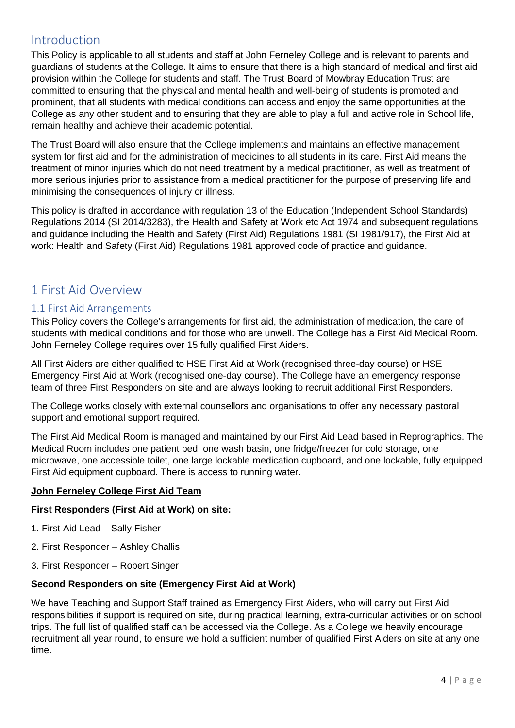## <span id="page-3-0"></span>Introduction

This Policy is applicable to all students and staff at John Ferneley College and is relevant to parents and guardians of students at the College. It aims to ensure that there is a high standard of medical and first aid provision within the College for students and staff. The Trust Board of Mowbray Education Trust are committed to ensuring that the physical and mental health and well-being of students is promoted and prominent, that all students with medical conditions can access and enjoy the same opportunities at the College as any other student and to ensuring that they are able to play a full and active role in School life, remain healthy and achieve their academic potential.

The Trust Board will also ensure that the College implements and maintains an effective management system for first aid and for the administration of medicines to all students in its care. First Aid means the treatment of minor injuries which do not need treatment by a medical practitioner, as well as treatment of more serious injuries prior to assistance from a medical practitioner for the purpose of preserving life and minimising the consequences of injury or illness.

This policy is drafted in accordance with regulation 13 of the Education (Independent School Standards) Regulations 2014 (SI 2014/3283), the Health and Safety at Work etc Act 1974 and subsequent regulations and guidance including the Health and Safety (First Aid) Regulations 1981 (SI 1981/917), the First Aid at work: Health and Safety (First Aid) Regulations 1981 approved code of practice and guidance.

## <span id="page-3-1"></span>1 First Aid Overview

#### <span id="page-3-2"></span>1.1 First Aid Arrangements

This Policy covers the College's arrangements for first aid, the administration of medication, the care of students with medical conditions and for those who are unwell. The College has a First Aid Medical Room. John Ferneley College requires over 15 fully qualified First Aiders.

All First Aiders are either qualified to HSE First Aid at Work (recognised three-day course) or HSE Emergency First Aid at Work (recognised one-day course). The College have an emergency response team of three First Responders on site and are always looking to recruit additional First Responders.

The College works closely with external counsellors and organisations to offer any necessary pastoral support and emotional support required.

The First Aid Medical Room is managed and maintained by our First Aid Lead based in Reprographics. The Medical Room includes one patient bed, one wash basin, one fridge/freezer for cold storage, one microwave, one accessible toilet, one large lockable medication cupboard, and one lockable, fully equipped First Aid equipment cupboard. There is access to running water.

#### **John Ferneley College First Aid Team**

#### **First Responders (First Aid at Work) on site:**

- 1. First Aid Lead Sally Fisher
- 2. First Responder Ashley Challis
- 3. First Responder Robert Singer

#### **Second Responders on site (Emergency First Aid at Work)**

We have Teaching and Support Staff trained as Emergency First Aiders, who will carry out First Aid responsibilities if support is required on site, during practical learning, extra-curricular activities or on school trips. The full list of qualified staff can be accessed via the College. As a College we heavily encourage recruitment all year round, to ensure we hold a sufficient number of qualified First Aiders on site at any one time.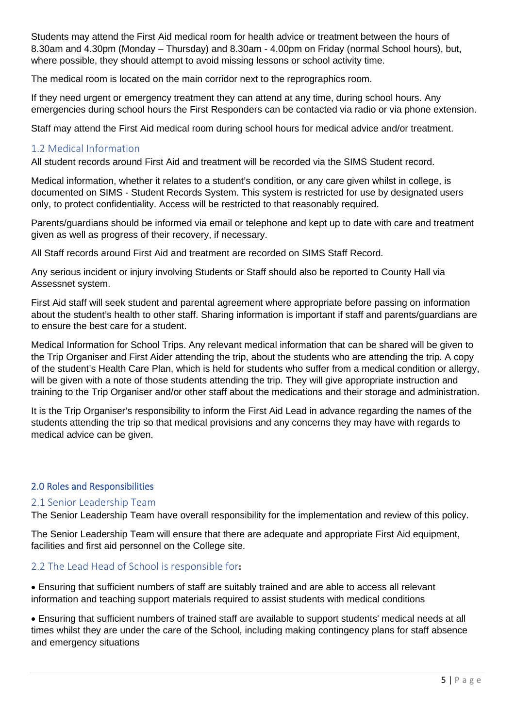Students may attend the First Aid medical room for health advice or treatment between the hours of 8.30am and 4.30pm (Monday – Thursday) and 8.30am - 4.00pm on Friday (normal School hours), but, where possible, they should attempt to avoid missing lessons or school activity time.

The medical room is located on the main corridor next to the reprographics room.

If they need urgent or emergency treatment they can attend at any time, during school hours. Any emergencies during school hours the First Responders can be contacted via radio or via phone extension.

Staff may attend the First Aid medical room during school hours for medical advice and/or treatment.

#### <span id="page-4-0"></span>1.2 Medical Information

All student records around First Aid and treatment will be recorded via the SIMS Student record.

Medical information, whether it relates to a student's condition, or any care given whilst in college, is documented on SIMS - Student Records System. This system is restricted for use by designated users only, to protect confidentiality. Access will be restricted to that reasonably required.

Parents/guardians should be informed via email or telephone and kept up to date with care and treatment given as well as progress of their recovery, if necessary.

All Staff records around First Aid and treatment are recorded on SIMS Staff Record.

Any serious incident or injury involving Students or Staff should also be reported to County Hall via Assessnet system.

First Aid staff will seek student and parental agreement where appropriate before passing on information about the student's health to other staff. Sharing information is important if staff and parents/guardians are to ensure the best care for a student.

Medical Information for School Trips. Any relevant medical information that can be shared will be given to the Trip Organiser and First Aider attending the trip, about the students who are attending the trip. A copy of the student's Health Care Plan, which is held for students who suffer from a medical condition or allergy, will be given with a note of those students attending the trip. They will give appropriate instruction and training to the Trip Organiser and/or other staff about the medications and their storage and administration.

It is the Trip Organiser's responsibility to inform the First Aid Lead in advance regarding the names of the students attending the trip so that medical provisions and any concerns they may have with regards to medical advice can be given.

#### <span id="page-4-1"></span>2.0 Roles and Responsibilities

#### <span id="page-4-2"></span>2.1 Senior Leadership Team

The Senior Leadership Team have overall responsibility for the implementation and review of this policy.

The Senior Leadership Team will ensure that there are adequate and appropriate First Aid equipment, facilities and first aid personnel on the College site.

#### <span id="page-4-3"></span>2.2 The Lead Head of School is responsible for**:**

• Ensuring that sufficient numbers of staff are suitably trained and are able to access all relevant information and teaching support materials required to assist students with medical conditions

• Ensuring that sufficient numbers of trained staff are available to support students' medical needs at all times whilst they are under the care of the School, including making contingency plans for staff absence and emergency situations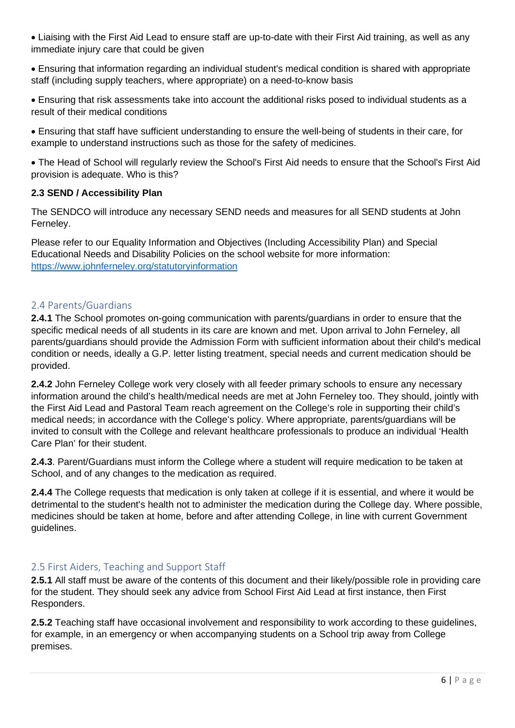• Liaising with the First Aid Lead to ensure staff are up-to-date with their First Aid training, as well as any immediate injury care that could be given

• Ensuring that information regarding an individual student's medical condition is shared with appropriate staff (including supply teachers, where appropriate) on a need-to-know basis

• Ensuring that risk assessments take into account the additional risks posed to individual students as a result of their medical conditions

• Ensuring that staff have sufficient understanding to ensure the well-being of students in their care, for example to understand instructions such as those for the safety of medicines.

• The Head of School will regularly review the School's First Aid needs to ensure that the School's First Aid provision is adequate. Who is this?

#### **2.3 SEND / Accessibility Plan**

The SENDCO will introduce any necessary SEND needs and measures for all SEND students at John Ferneley.

Please refer to our Equality Information and Objectives (Including Accessibility Plan) and Special Educational Needs and Disability Policies on the school website for more information: <https://www.johnferneley.org/statutoryinformation>

#### <span id="page-5-0"></span>2.4 Parents/Guardians

**2.4.1** The School promotes on-going communication with parents/guardians in order to ensure that the specific medical needs of all students in its care are known and met. Upon arrival to John Ferneley, all parents/guardians should provide the Admission Form with sufficient information about their child's medical condition or needs, ideally a G.P. letter listing treatment, special needs and current medication should be provided.

**2.4.2** John Ferneley College work very closely with all feeder primary schools to ensure any necessary information around the child's health/medical needs are met at John Ferneley too. They should, jointly with the First Aid Lead and Pastoral Team reach agreement on the College's role in supporting their child's medical needs; in accordance with the College's policy. Where appropriate, parents/guardians will be invited to consult with the College and relevant healthcare professionals to produce an individual 'Health Care Plan' for their student.

**2.4.3**. Parent/Guardians must inform the College where a student will require medication to be taken at School, and of any changes to the medication as required.

**2.4.4** The College requests that medication is only taken at college if it is essential, and where it would be detrimental to the student's health not to administer the medication during the College day. Where possible, medicines should be taken at home, before and after attending College, in line with current Government guidelines.

#### <span id="page-5-1"></span>2.5 First Aiders, Teaching and Support Staff

**2.5.1** All staff must be aware of the contents of this document and their likely/possible role in providing care for the student. They should seek any advice from School First Aid Lead at first instance, then First Responders.

**2.5.2** Teaching staff have occasional involvement and responsibility to work according to these guidelines, for example, in an emergency or when accompanying students on a School trip away from College premises.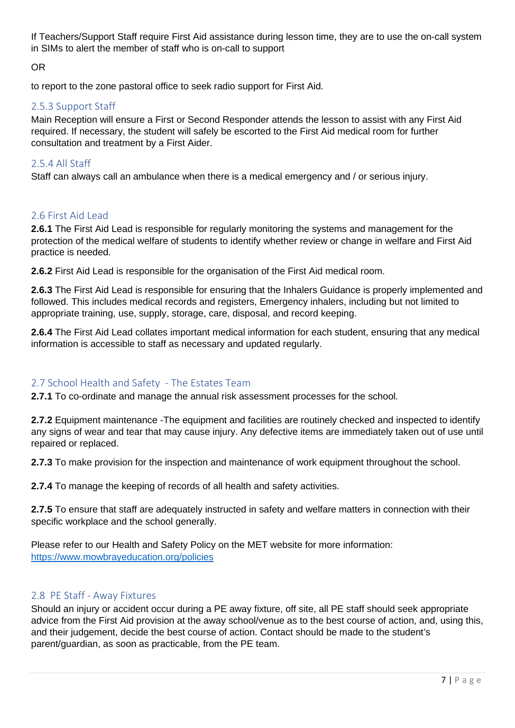If Teachers/Support Staff require First Aid assistance during lesson time, they are to use the on-call system in SIMs to alert the member of staff who is on-call to support

OR

to report to the zone pastoral office to seek radio support for First Aid.

#### <span id="page-6-0"></span>2.5.3 Support Staff

Main Reception will ensure a First or Second Responder attends the lesson to assist with any First Aid required. If necessary, the student will safely be escorted to the First Aid medical room for further consultation and treatment by a First Aider.

#### <span id="page-6-1"></span>2.5.4 All Staff

Staff can always call an ambulance when there is a medical emergency and / or serious injury.

#### <span id="page-6-2"></span>2.6 First Aid Lead

**2.6.1** The First Aid Lead is responsible for regularly monitoring the systems and management for the protection of the medical welfare of students to identify whether review or change in welfare and First Aid practice is needed.

**2.6.2** First Aid Lead is responsible for the organisation of the First Aid medical room.

**2.6.3** The First Aid Lead is responsible for ensuring that the Inhalers Guidance is properly implemented and followed. This includes medical records and registers, Emergency inhalers, including but not limited to appropriate training, use, supply, storage, care, disposal, and record keeping.

**2.6.4** The First Aid Lead collates important medical information for each student, ensuring that any medical information is accessible to staff as necessary and updated regularly.

#### <span id="page-6-3"></span>2.7 School Health and Safety - The Estates Team

**2.7.1** To co-ordinate and manage the annual risk assessment processes for the school.

**2.7.2** Equipment maintenance -The equipment and facilities are routinely checked and inspected to identify any signs of wear and tear that may cause injury. Any defective items are immediately taken out of use until repaired or replaced.

**2.7.3** To make provision for the inspection and maintenance of work equipment throughout the school.

**2.7.4** To manage the keeping of records of all health and safety activities.

**2.7.5** To ensure that staff are adequately instructed in safety and welfare matters in connection with their specific workplace and the school generally.

Please refer to our Health and Safety Policy on the MET website for more information: <https://www.mowbrayeducation.org/policies>

#### <span id="page-6-4"></span>2.8 PE Staff - Away Fixtures

Should an injury or accident occur during a PE away fixture, off site, all PE staff should seek appropriate advice from the First Aid provision at the away school/venue as to the best course of action, and, using this, and their judgement, decide the best course of action. Contact should be made to the student's parent/guardian, as soon as practicable, from the PE team.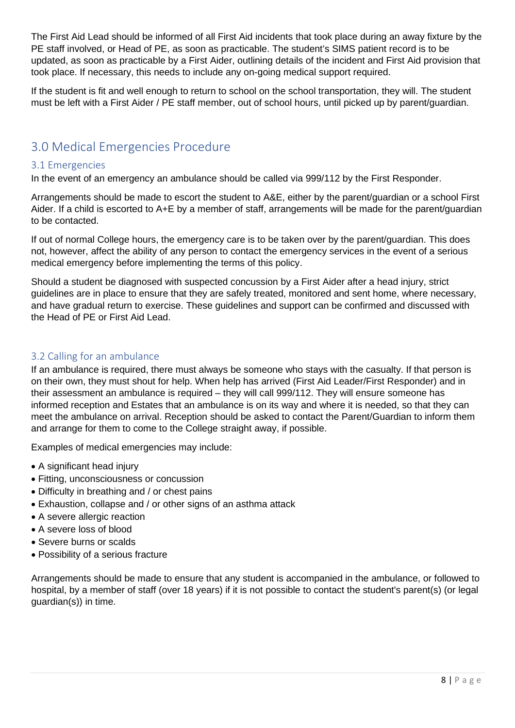The First Aid Lead should be informed of all First Aid incidents that took place during an away fixture by the PE staff involved, or Head of PE, as soon as practicable. The student's SIMS patient record is to be updated, as soon as practicable by a First Aider, outlining details of the incident and First Aid provision that took place. If necessary, this needs to include any on-going medical support required.

If the student is fit and well enough to return to school on the school transportation, they will. The student must be left with a First Aider / PE staff member, out of school hours, until picked up by parent/guardian.

## <span id="page-7-0"></span>3.0 Medical Emergencies Procedure

#### <span id="page-7-1"></span>3.1 Emergencies

In the event of an emergency an ambulance should be called via 999/112 by the First Responder.

Arrangements should be made to escort the student to A&E, either by the parent/guardian or a school First Aider. If a child is escorted to A+E by a member of staff, arrangements will be made for the parent/guardian to be contacted.

If out of normal College hours, the emergency care is to be taken over by the parent/guardian. This does not, however, affect the ability of any person to contact the emergency services in the event of a serious medical emergency before implementing the terms of this policy.

Should a student be diagnosed with suspected concussion by a First Aider after a head injury, strict guidelines are in place to ensure that they are safely treated, monitored and sent home, where necessary, and have gradual return to exercise. These guidelines and support can be confirmed and discussed with the Head of PE or First Aid Lead.

#### <span id="page-7-2"></span>3.2 Calling for an ambulance

If an ambulance is required, there must always be someone who stays with the casualty. If that person is on their own, they must shout for help. When help has arrived (First Aid Leader/First Responder) and in their assessment an ambulance is required – they will call 999/112. They will ensure someone has informed reception and Estates that an ambulance is on its way and where it is needed, so that they can meet the ambulance on arrival. Reception should be asked to contact the Parent/Guardian to inform them and arrange for them to come to the College straight away, if possible.

Examples of medical emergencies may include:

- A significant head injury
- Fitting, unconsciousness or concussion
- Difficulty in breathing and / or chest pains
- Exhaustion, collapse and / or other signs of an asthma attack
- A severe allergic reaction
- A severe loss of blood
- Severe burns or scalds
- Possibility of a serious fracture

Arrangements should be made to ensure that any student is accompanied in the ambulance, or followed to hospital, by a member of staff (over 18 years) if it is not possible to contact the student's parent(s) (or legal guardian(s)) in time.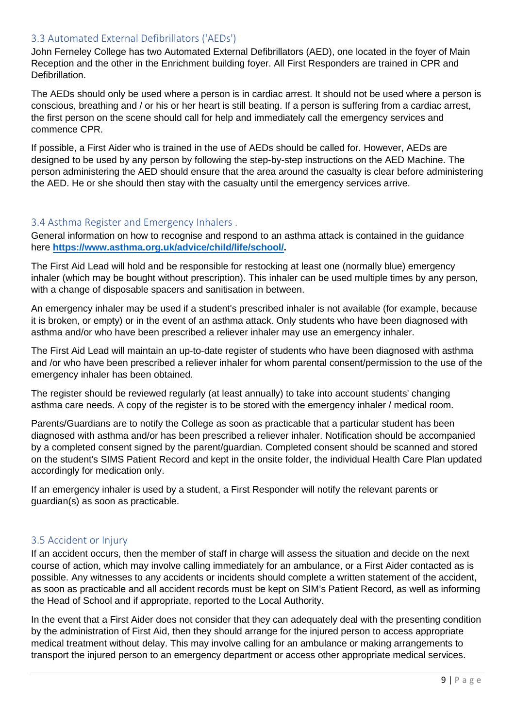#### <span id="page-8-0"></span>3.3 Automated External Defibrillators ('AEDs')

John Ferneley College has two Automated External Defibrillators (AED), one located in the foyer of Main Reception and the other in the Enrichment building foyer. All First Responders are trained in CPR and Defibrillation.

The AEDs should only be used where a person is in cardiac arrest. It should not be used where a person is conscious, breathing and / or his or her heart is still beating. If a person is suffering from a cardiac arrest, the first person on the scene should call for help and immediately call the emergency services and commence CPR.

If possible, a First Aider who is trained in the use of AEDs should be called for. However, AEDs are designed to be used by any person by following the step-by-step instructions on the AED Machine. The person administering the AED should ensure that the area around the casualty is clear before administering the AED. He or she should then stay with the casualty until the emergency services arrive.

#### <span id="page-8-1"></span>3.4 Asthma Register and Emergency Inhalers .

General information on how to recognise and respond to an asthma attack is contained in the guidance here**[https://www.asthma.org.uk/advice/child/life/school/.](https://www.asthma.org.uk/advice/child/life/school/)** 

The First Aid Lead will hold and be responsible for restocking at least one (normally blue) emergency inhaler (which may be bought without prescription). This inhaler can be used multiple times by any person, with a change of disposable spacers and sanitisation in between.

An emergency inhaler may be used if a student's prescribed inhaler is not available (for example, because it is broken, or empty) or in the event of an asthma attack. Only students who have been diagnosed with asthma and/or who have been prescribed a reliever inhaler may use an emergency inhaler.

The First Aid Lead will maintain an up-to-date register of students who have been diagnosed with asthma and /or who have been prescribed a reliever inhaler for whom parental consent/permission to the use of the emergency inhaler has been obtained.

The register should be reviewed regularly (at least annually) to take into account students' changing asthma care needs. A copy of the register is to be stored with the emergency inhaler / medical room.

Parents/Guardians are to notify the College as soon as practicable that a particular student has been diagnosed with asthma and/or has been prescribed a reliever inhaler. Notification should be accompanied by a completed consent signed by the parent/guardian. Completed consent should be scanned and stored on the student's SIMS Patient Record and kept in the onsite folder, the individual Health Care Plan updated accordingly for medication only.

If an emergency inhaler is used by a student, a First Responder will notify the relevant parents or guardian(s) as soon as practicable.

#### <span id="page-8-2"></span>3.5 Accident or Injury

If an accident occurs, then the member of staff in charge will assess the situation and decide on the next course of action, which may involve calling immediately for an ambulance, or a First Aider contacted as is possible. Any witnesses to any accidents or incidents should complete a written statement of the accident, as soon as practicable and all accident records must be kept on SIM's Patient Record, as well as informing the Head of School and if appropriate, reported to the Local Authority.

In the event that a First Aider does not consider that they can adequately deal with the presenting condition by the administration of First Aid, then they should arrange for the injured person to access appropriate medical treatment without delay. This may involve calling for an ambulance or making arrangements to transport the injured person to an emergency department or access other appropriate medical services.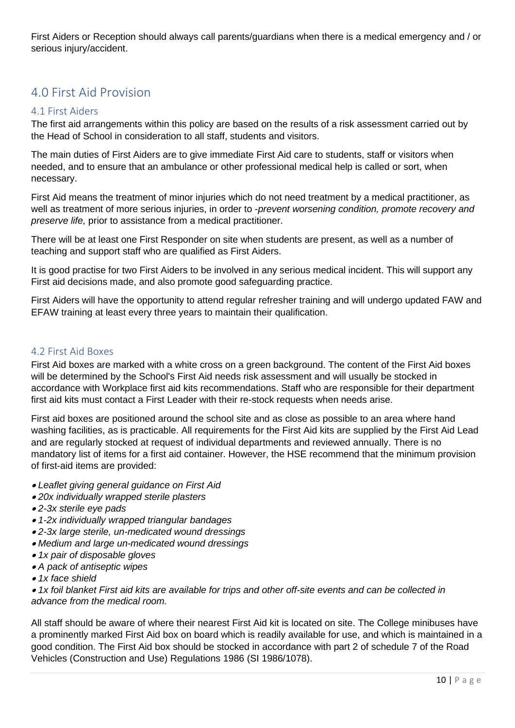First Aiders or Reception should always call parents/guardians when there is a medical emergency and / or serious injury/accident.

## <span id="page-9-0"></span>4.0 First Aid Provision

#### <span id="page-9-1"></span>4.1 First Aiders

The first aid arrangements within this policy are based on the results of a risk assessment carried out by the Head of School in consideration to all staff, students and visitors.

The main duties of First Aiders are to give immediate First Aid care to students, staff or visitors when needed, and to ensure that an ambulance or other professional medical help is called or sort, when necessary.

First Aid means the treatment of minor injuries which do not need treatment by a medical practitioner, as well as treatment of more serious injuries, in order to -*prevent worsening condition, promote recovery and preserve life,* prior to assistance from a medical practitioner.

There will be at least one First Responder on site when students are present, as well as a number of teaching and support staff who are qualified as First Aiders.

It is good practise for two First Aiders to be involved in any serious medical incident. This will support any First aid decisions made, and also promote good safeguarding practice.

First Aiders will have the opportunity to attend regular refresher training and will undergo updated FAW and EFAW training at least every three years to maintain their qualification.

#### <span id="page-9-2"></span>4.2 First Aid Boxes

First Aid boxes are marked with a white cross on a green background. The content of the First Aid boxes will be determined by the School's First Aid needs risk assessment and will usually be stocked in accordance with Workplace first aid kits recommendations. Staff who are responsible for their department first aid kits must contact a First Leader with their re-stock requests when needs arise.

First aid boxes are positioned around the school site and as close as possible to an area where hand washing facilities, as is practicable. All requirements for the First Aid kits are supplied by the First Aid Lead and are regularly stocked at request of individual departments and reviewed annually. There is no mandatory list of items for a first aid container. However, the HSE recommend that the minimum provision of first-aid items are provided:

- *Leaflet giving general guidance on First Aid*
- *20x individually wrapped sterile plasters*
- *2-3x sterile eye pads*
- *1-2x individually wrapped triangular bandages*
- *2-3x large sterile, un-medicated wound dressings*
- *Medium and large un-medicated wound dressings*
- *1x pair of disposable gloves*
- *A pack of antiseptic wipes*
- *1x face shield*

• *1x foil blanket First aid kits are available for trips and other off-site events and can be collected in advance from the medical room.*

All staff should be aware of where their nearest First Aid kit is located on site. The College minibuses have a prominently marked First Aid box on board which is readily available for use, and which is maintained in a good condition. The First Aid box should be stocked in accordance with part 2 of schedule 7 of the Road Vehicles (Construction and Use) Regulations 1986 (SI 1986/1078).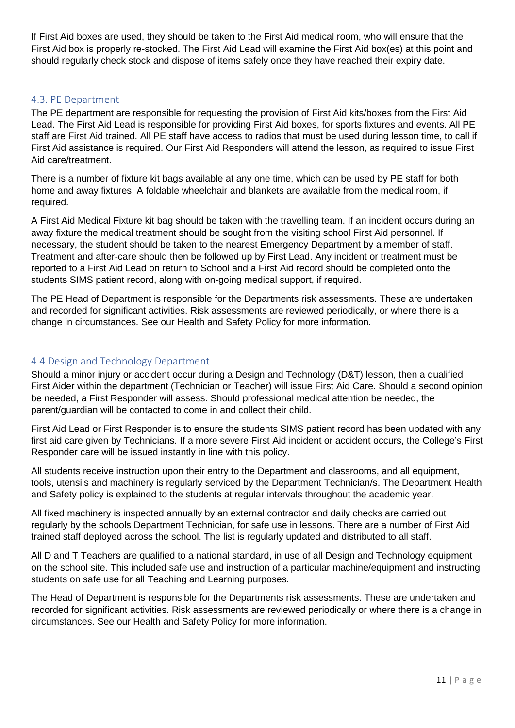If First Aid boxes are used, they should be taken to the First Aid medical room, who will ensure that the First Aid box is properly re-stocked. The First Aid Lead will examine the First Aid box(es) at this point and should regularly check stock and dispose of items safely once they have reached their expiry date.

#### <span id="page-10-0"></span>4.3. PE Department

The PE department are responsible for requesting the provision of First Aid kits/boxes from the First Aid Lead. The First Aid Lead is responsible for providing First Aid boxes, for sports fixtures and events. All PE staff are First Aid trained. All PE staff have access to radios that must be used during lesson time, to call if First Aid assistance is required. Our First Aid Responders will attend the lesson, as required to issue First Aid care/treatment.

There is a number of fixture kit bags available at any one time, which can be used by PE staff for both home and away fixtures. A foldable wheelchair and blankets are available from the medical room, if required.

A First Aid Medical Fixture kit bag should be taken with the travelling team. If an incident occurs during an away fixture the medical treatment should be sought from the visiting school First Aid personnel. If necessary, the student should be taken to the nearest Emergency Department by a member of staff. Treatment and after-care should then be followed up by First Lead. Any incident or treatment must be reported to a First Aid Lead on return to School and a First Aid record should be completed onto the students SIMS patient record, along with on-going medical support, if required.

The PE Head of Department is responsible for the Departments risk assessments. These are undertaken and recorded for significant activities. Risk assessments are reviewed periodically, or where there is a change in circumstances. See our Health and Safety Policy for more information.

#### <span id="page-10-1"></span>4.4 Design and Technology Department

Should a minor injury or accident occur during a Design and Technology (D&T) lesson, then a qualified First Aider within the department (Technician or Teacher) will issue First Aid Care. Should a second opinion be needed, a First Responder will assess. Should professional medical attention be needed, the parent/guardian will be contacted to come in and collect their child.

First Aid Lead or First Responder is to ensure the students SIMS patient record has been updated with any first aid care given by Technicians. If a more severe First Aid incident or accident occurs, the College's First Responder care will be issued instantly in line with this policy.

All students receive instruction upon their entry to the Department and classrooms, and all equipment, tools, utensils and machinery is regularly serviced by the Department Technician/s. The Department Health and Safety policy is explained to the students at regular intervals throughout the academic year.

All fixed machinery is inspected annually by an external contractor and daily checks are carried out regularly by the schools Department Technician, for safe use in lessons. There are a number of First Aid trained staff deployed across the school. The list is regularly updated and distributed to all staff.

All D and T Teachers are qualified to a national standard, in use of all Design and Technology equipment on the school site. This included safe use and instruction of a particular machine/equipment and instructing students on safe use for all Teaching and Learning purposes.

The Head of Department is responsible for the Departments risk assessments. These are undertaken and recorded for significant activities. Risk assessments are reviewed periodically or where there is a change in circumstances. See our Health and Safety Policy for more information.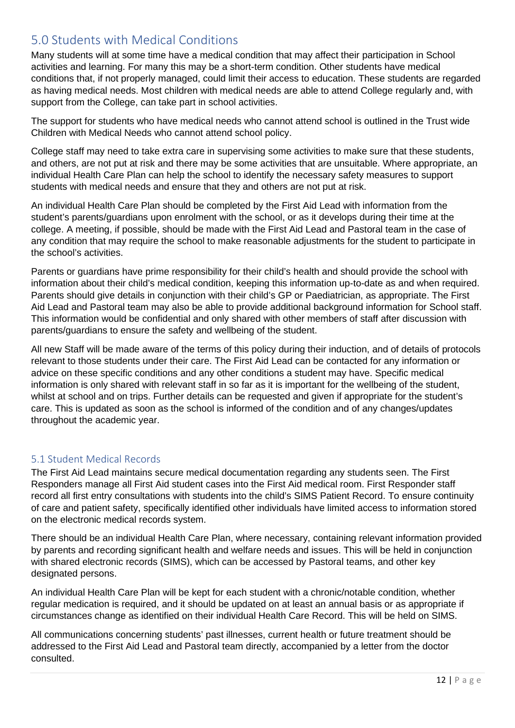## <span id="page-11-0"></span>5.0 Students with Medical Conditions

Many students will at some time have a medical condition that may affect their participation in School activities and learning. For many this may be a short-term condition. Other students have medical conditions that, if not properly managed, could limit their access to education. These students are regarded as having medical needs. Most children with medical needs are able to attend College regularly and, with support from the College, can take part in school activities.

The support for students who have medical needs who cannot attend school is outlined in the Trust wide Children with Medical Needs who cannot attend school policy.

College staff may need to take extra care in supervising some activities to make sure that these students, and others, are not put at risk and there may be some activities that are unsuitable. Where appropriate, an individual Health Care Plan can help the school to identify the necessary safety measures to support students with medical needs and ensure that they and others are not put at risk.

An individual Health Care Plan should be completed by the First Aid Lead with information from the student's parents/guardians upon enrolment with the school, or as it develops during their time at the college. A meeting, if possible, should be made with the First Aid Lead and Pastoral team in the case of any condition that may require the school to make reasonable adjustments for the student to participate in the school's activities.

Parents or guardians have prime responsibility for their child's health and should provide the school with information about their child's medical condition, keeping this information up-to-date as and when required. Parents should give details in conjunction with their child's GP or Paediatrician, as appropriate. The First Aid Lead and Pastoral team may also be able to provide additional background information for School staff. This information would be confidential and only shared with other members of staff after discussion with parents/guardians to ensure the safety and wellbeing of the student.

All new Staff will be made aware of the terms of this policy during their induction, and of details of protocols relevant to those students under their care. The First Aid Lead can be contacted for any information or advice on these specific conditions and any other conditions a student may have. Specific medical information is only shared with relevant staff in so far as it is important for the wellbeing of the student, whilst at school and on trips. Further details can be requested and given if appropriate for the student's care. This is updated as soon as the school is informed of the condition and of any changes/updates throughout the academic year.

#### <span id="page-11-1"></span>5.1 Student Medical Records

The First Aid Lead maintains secure medical documentation regarding any students seen. The First Responders manage all First Aid student cases into the First Aid medical room. First Responder staff record all first entry consultations with students into the child's SIMS Patient Record. To ensure continuity of care and patient safety, specifically identified other individuals have limited access to information stored on the electronic medical records system.

There should be an individual Health Care Plan, where necessary, containing relevant information provided by parents and recording significant health and welfare needs and issues. This will be held in conjunction with shared electronic records (SIMS), which can be accessed by Pastoral teams, and other key designated persons.

An individual Health Care Plan will be kept for each student with a chronic/notable condition, whether regular medication is required, and it should be updated on at least an annual basis or as appropriate if circumstances change as identified on their individual Health Care Record. This will be held on SIMS.

All communications concerning students' past illnesses, current health or future treatment should be addressed to the First Aid Lead and Pastoral team directly, accompanied by a letter from the doctor consulted.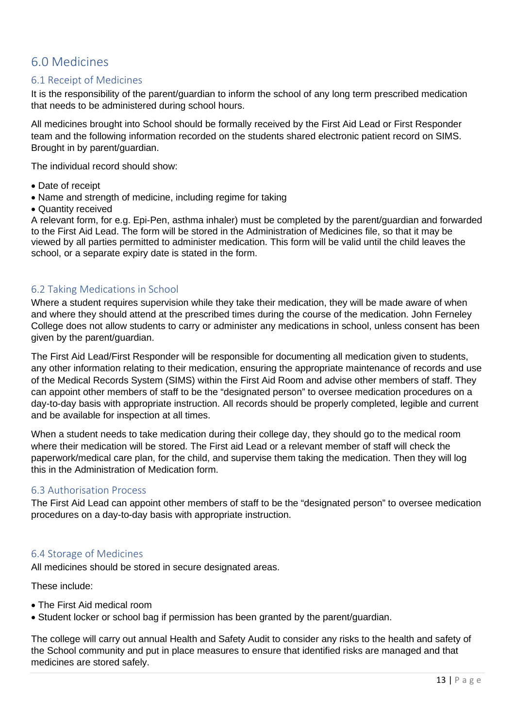## <span id="page-12-0"></span>6.0 Medicines

#### <span id="page-12-1"></span>6.1 Receipt of Medicines

It is the responsibility of the parent/guardian to inform the school of any long term prescribed medication that needs to be administered during school hours.

All medicines brought into School should be formally received by the First Aid Lead or First Responder team and the following information recorded on the students shared electronic patient record on SIMS. Brought in by parent/guardian.

The individual record should show:

- Date of receipt
- Name and strength of medicine, including regime for taking
- Quantity received

A relevant form, for e.g. Epi-Pen, asthma inhaler) must be completed by the parent/guardian and forwarded to the First Aid Lead. The form will be stored in the Administration of Medicines file, so that it may be viewed by all parties permitted to administer medication. This form will be valid until the child leaves the school, or a separate expiry date is stated in the form.

#### <span id="page-12-2"></span>6.2 Taking Medications in School

Where a student requires supervision while they take their medication, they will be made aware of when and where they should attend at the prescribed times during the course of the medication. John Ferneley College does not allow students to carry or administer any medications in school, unless consent has been given by the parent/guardian.

The First Aid Lead/First Responder will be responsible for documenting all medication given to students, any other information relating to their medication, ensuring the appropriate maintenance of records and use of the Medical Records System (SIMS) within the First Aid Room and advise other members of staff. They can appoint other members of staff to be the "designated person" to oversee medication procedures on a day-to-day basis with appropriate instruction. All records should be properly completed, legible and current and be available for inspection at all times.

When a student needs to take medication during their college day, they should go to the medical room where their medication will be stored. The First aid Lead or a relevant member of staff will check the paperwork/medical care plan, for the child, and supervise them taking the medication. Then they will log this in the Administration of Medication form.

#### <span id="page-12-3"></span>6.3 Authorisation Process

The First Aid Lead can appoint other members of staff to be the "designated person" to oversee medication procedures on a day-to-day basis with appropriate instruction.

#### <span id="page-12-4"></span>6.4 Storage of Medicines

All medicines should be stored in secure designated areas.

These include:

- The First Aid medical room
- Student locker or school bag if permission has been granted by the parent/guardian.

The college will carry out annual Health and Safety Audit to consider any risks to the health and safety of the School community and put in place measures to ensure that identified risks are managed and that medicines are stored safely.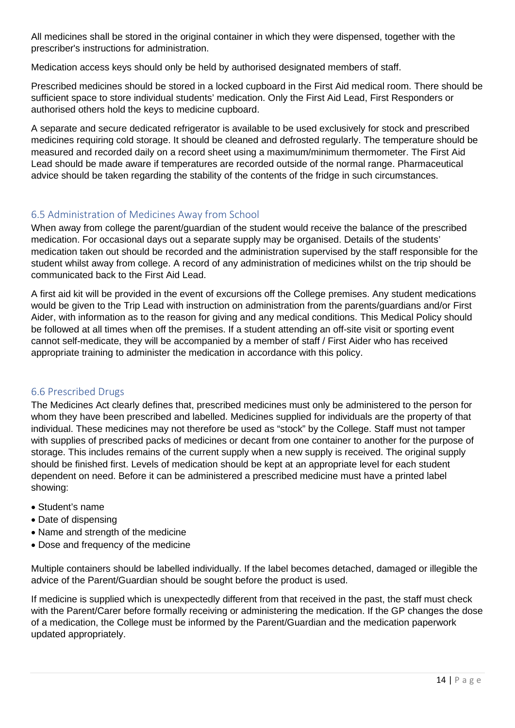All medicines shall be stored in the original container in which they were dispensed, together with the prescriber's instructions for administration.

Medication access keys should only be held by authorised designated members of staff.

Prescribed medicines should be stored in a locked cupboard in the First Aid medical room. There should be sufficient space to store individual students' medication. Only the First Aid Lead, First Responders or authorised others hold the keys to medicine cupboard.

A separate and secure dedicated refrigerator is available to be used exclusively for stock and prescribed medicines requiring cold storage. It should be cleaned and defrosted regularly. The temperature should be measured and recorded daily on a record sheet using a maximum/minimum thermometer. The First Aid Lead should be made aware if temperatures are recorded outside of the normal range. Pharmaceutical advice should be taken regarding the stability of the contents of the fridge in such circumstances.

#### <span id="page-13-0"></span>6.5 Administration of Medicines Away from School

When away from college the parent/guardian of the student would receive the balance of the prescribed medication. For occasional days out a separate supply may be organised. Details of the students' medication taken out should be recorded and the administration supervised by the staff responsible for the student whilst away from college. A record of any administration of medicines whilst on the trip should be communicated back to the First Aid Lead.

A first aid kit will be provided in the event of excursions off the College premises. Any student medications would be given to the Trip Lead with instruction on administration from the parents/guardians and/or First Aider, with information as to the reason for giving and any medical conditions. This Medical Policy should be followed at all times when off the premises. If a student attending an off-site visit or sporting event cannot self-medicate, they will be accompanied by a member of staff / First Aider who has received appropriate training to administer the medication in accordance with this policy.

#### <span id="page-13-1"></span>6.6 Prescribed Drugs

The Medicines Act clearly defines that, prescribed medicines must only be administered to the person for whom they have been prescribed and labelled. Medicines supplied for individuals are the property of that individual. These medicines may not therefore be used as "stock" by the College. Staff must not tamper with supplies of prescribed packs of medicines or decant from one container to another for the purpose of storage. This includes remains of the current supply when a new supply is received. The original supply should be finished first. Levels of medication should be kept at an appropriate level for each student dependent on need. Before it can be administered a prescribed medicine must have a printed label showing:

- Student's name
- Date of dispensing
- Name and strength of the medicine
- Dose and frequency of the medicine

Multiple containers should be labelled individually. If the label becomes detached, damaged or illegible the advice of the Parent/Guardian should be sought before the product is used.

If medicine is supplied which is unexpectedly different from that received in the past, the staff must check with the Parent/Carer before formally receiving or administering the medication. If the GP changes the dose of a medication, the College must be informed by the Parent/Guardian and the medication paperwork updated appropriately.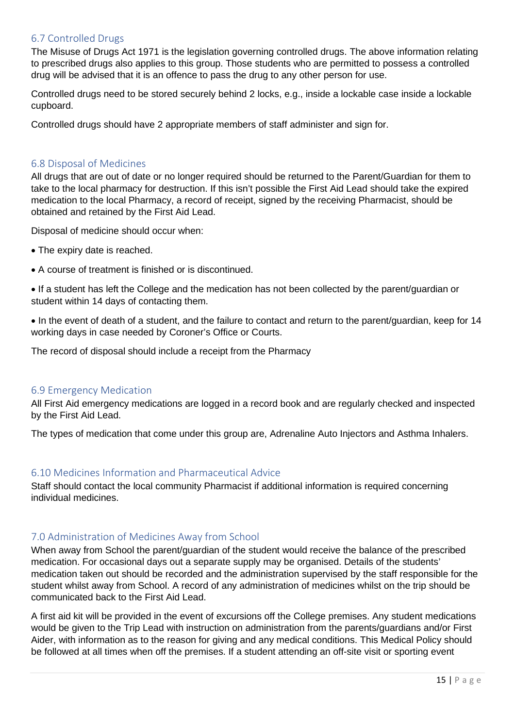#### <span id="page-14-0"></span>6.7 Controlled Drugs

The Misuse of Drugs Act 1971 is the legislation governing controlled drugs. The above information relating to prescribed drugs also applies to this group. Those students who are permitted to possess a controlled drug will be advised that it is an offence to pass the drug to any other person for use.

Controlled drugs need to be stored securely behind 2 locks, e.g., inside a lockable case inside a lockable cupboard.

Controlled drugs should have 2 appropriate members of staff administer and sign for.

#### <span id="page-14-1"></span>6.8 Disposal of Medicines

All drugs that are out of date or no longer required should be returned to the Parent/Guardian for them to take to the local pharmacy for destruction. If this isn't possible the First Aid Lead should take the expired medication to the local Pharmacy, a record of receipt, signed by the receiving Pharmacist, should be obtained and retained by the First Aid Lead.

Disposal of medicine should occur when:

- The expiry date is reached.
- A course of treatment is finished or is discontinued.

• If a student has left the College and the medication has not been collected by the parent/guardian or student within 14 days of contacting them.

• In the event of death of a student, and the failure to contact and return to the parent/guardian, keep for 14 working days in case needed by Coroner's Office or Courts.

The record of disposal should include a receipt from the Pharmacy

#### <span id="page-14-2"></span>6.9 Emergency Medication

All First Aid emergency medications are logged in a record book and are regularly checked and inspected by the First Aid Lead.

The types of medication that come under this group are, Adrenaline Auto Injectors and Asthma Inhalers.

#### <span id="page-14-3"></span>6.10 Medicines Information and Pharmaceutical Advice

Staff should contact the local community Pharmacist if additional information is required concerning individual medicines.

#### <span id="page-14-4"></span>7.0 Administration of Medicines Away from School

When away from School the parent/guardian of the student would receive the balance of the prescribed medication. For occasional days out a separate supply may be organised. Details of the students' medication taken out should be recorded and the administration supervised by the staff responsible for the student whilst away from School. A record of any administration of medicines whilst on the trip should be communicated back to the First Aid Lead.

A first aid kit will be provided in the event of excursions off the College premises. Any student medications would be given to the Trip Lead with instruction on administration from the parents/guardians and/or First Aider, with information as to the reason for giving and any medical conditions. This Medical Policy should be followed at all times when off the premises. If a student attending an off-site visit or sporting event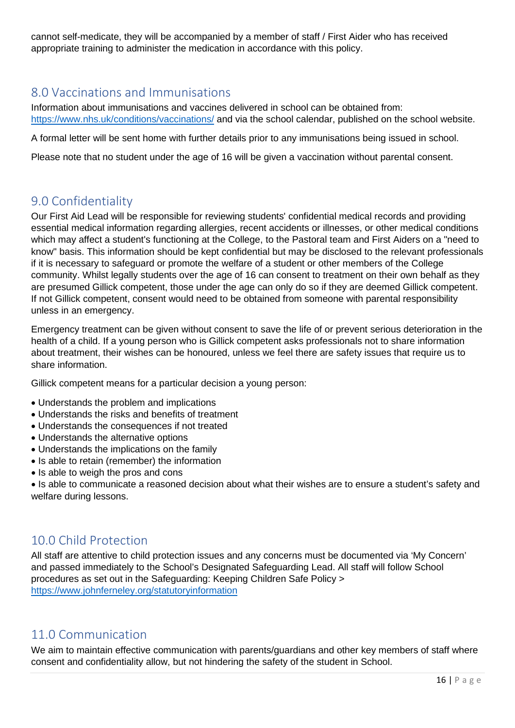cannot self-medicate, they will be accompanied by a member of staff / First Aider who has received appropriate training to administer the medication in accordance with this policy.

## <span id="page-15-0"></span>8.0 Vaccinations and Immunisations

Information about immunisations and vaccines delivered in school can be obtained from: <https://www.nhs.uk/conditions/vaccinations/> and via the school calendar, published on the school website.

A formal letter will be sent home with further details prior to any immunisations being issued in school.

Please note that no student under the age of 16 will be given a vaccination without parental consent.

## <span id="page-15-1"></span>9.0 Confidentiality

Our First Aid Lead will be responsible for reviewing students' confidential medical records and providing essential medical information regarding allergies, recent accidents or illnesses, or other medical conditions which may affect a student's functioning at the College, to the Pastoral team and First Aiders on a "need to know" basis. This information should be kept confidential but may be disclosed to the relevant professionals if it is necessary to safeguard or promote the welfare of a student or other members of the College community. Whilst legally students over the age of 16 can consent to treatment on their own behalf as they are presumed Gillick competent, those under the age can only do so if they are deemed Gillick competent. If not Gillick competent, consent would need to be obtained from someone with parental responsibility unless in an emergency.

Emergency treatment can be given without consent to save the life of or prevent serious deterioration in the health of a child. If a young person who is Gillick competent asks professionals not to share information about treatment, their wishes can be honoured, unless we feel there are safety issues that require us to share information.

Gillick competent means for a particular decision a young person:

- Understands the problem and implications
- Understands the risks and benefits of treatment
- Understands the consequences if not treated
- Understands the alternative options
- Understands the implications on the family
- Is able to retain (remember) the information
- Is able to weigh the pros and cons

• Is able to communicate a reasoned decision about what their wishes are to ensure a student's safety and welfare during lessons.

## <span id="page-15-2"></span>10.0 Child Protection

All staff are attentive to child protection issues and any concerns must be documented via 'My Concern' and passed immediately to the School's Designated Safeguarding Lead. All staff will follow School procedures as set out in the Safeguarding: Keeping Children Safe Policy > <https://www.johnferneley.org/statutoryinformation>

## <span id="page-15-3"></span>11.0 Communication

We aim to maintain effective communication with parents/guardians and other key members of staff where consent and confidentiality allow, but not hindering the safety of the student in School.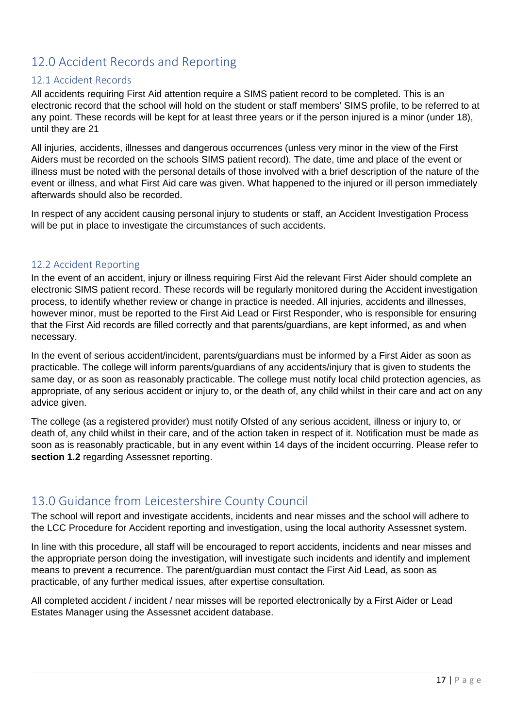## <span id="page-16-0"></span>12.0 Accident Records and Reporting

#### <span id="page-16-1"></span>12.1 Accident Records

All accidents requiring First Aid attention require a SIMS patient record to be completed. This is an electronic record that the school will hold on the student or staff members' SIMS profile, to be referred to at any point. These records will be kept for at least three years or if the person injured is a minor (under 18), until they are 21

All injuries, accidents, illnesses and dangerous occurrences (unless very minor in the view of the First Aiders must be recorded on the schools SIMS patient record). The date, time and place of the event or illness must be noted with the personal details of those involved with a brief description of the nature of the event or illness, and what First Aid care was given. What happened to the injured or ill person immediately afterwards should also be recorded.

In respect of any accident causing personal injury to students or staff, an Accident Investigation Process will be put in place to investigate the circumstances of such accidents.

#### <span id="page-16-2"></span>12.2 Accident Reporting

In the event of an accident, injury or illness requiring First Aid the relevant First Aider should complete an electronic SIMS patient record. These records will be regularly monitored during the Accident investigation process, to identify whether review or change in practice is needed. All injuries, accidents and illnesses, however minor, must be reported to the First Aid Lead or First Responder, who is responsible for ensuring that the First Aid records are filled correctly and that parents/guardians, are kept informed, as and when necessary.

In the event of serious accident/incident, parents/guardians must be informed by a First Aider as soon as practicable. The college will inform parents/guardians of any accidents/injury that is given to students the same day, or as soon as reasonably practicable. The college must notify local child protection agencies, as appropriate, of any serious accident or injury to, or the death of, any child whilst in their care and act on any advice given.

The college (as a registered provider) must notify Ofsted of any serious accident, illness or injury to, or death of, any child whilst in their care, and of the action taken in respect of it. Notification must be made as soon as is reasonably practicable, but in any event within 14 days of the incident occurring. Please refer to **section 1.2** regarding Assessnet reporting.

## <span id="page-16-3"></span>13.0 Guidance from Leicestershire County Council

The school will report and investigate accidents, incidents and near misses and the school will adhere to the LCC Procedure for Accident reporting and investigation, using the local authority Assessnet system.

In line with this procedure, all staff will be encouraged to report accidents, incidents and near misses and the appropriate person doing the investigation, will investigate such incidents and identify and implement means to prevent a recurrence. The parent/guardian must contact the First Aid Lead, as soon as practicable, of any further medical issues, after expertise consultation.

All completed accident / incident / near misses will be reported electronically by a First Aider or Lead Estates Manager using the Assessnet accident database.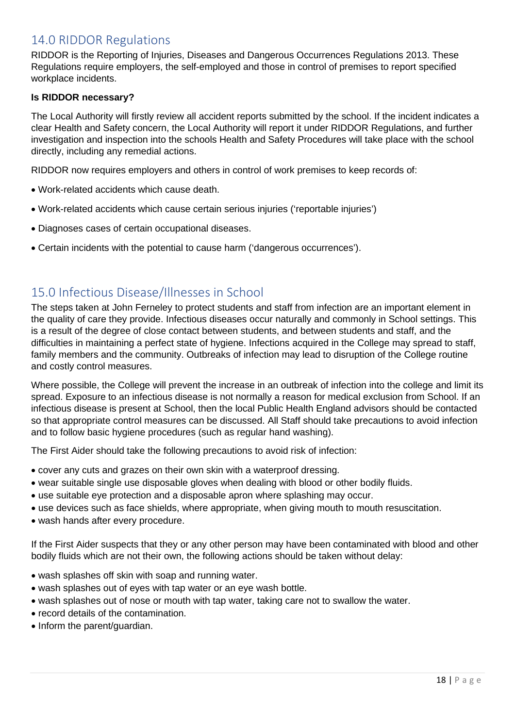## <span id="page-17-0"></span>14.0 RIDDOR Regulations

RIDDOR is the Reporting of Injuries, Diseases and Dangerous Occurrences Regulations 2013. These Regulations require employers, the self-employed and those in control of premises to report specified workplace incidents.

#### **Is RIDDOR necessary?**

The Local Authority will firstly review all accident reports submitted by the school. If the incident indicates a clear Health and Safety concern, the Local Authority will report it under RIDDOR Regulations, and further investigation and inspection into the schools Health and Safety Procedures will take place with the school directly, including any remedial actions.

RIDDOR now requires employers and others in control of work premises to keep records of:

- Work-related accidents which cause death.
- Work-related accidents which cause certain serious injuries ('reportable injuries')
- Diagnoses cases of certain occupational diseases.
- Certain incidents with the potential to cause harm ('dangerous occurrences').

## <span id="page-17-1"></span>15.0 Infectious Disease/Illnesses in School

The steps taken at John Ferneley to protect students and staff from infection are an important element in the quality of care they provide. Infectious diseases occur naturally and commonly in School settings. This is a result of the degree of close contact between students, and between students and staff, and the difficulties in maintaining a perfect state of hygiene. Infections acquired in the College may spread to staff, family members and the community. Outbreaks of infection may lead to disruption of the College routine and costly control measures.

Where possible, the College will prevent the increase in an outbreak of infection into the college and limit its spread. Exposure to an infectious disease is not normally a reason for medical exclusion from School. If an infectious disease is present at School, then the local Public Health England advisors should be contacted so that appropriate control measures can be discussed. All Staff should take precautions to avoid infection and to follow basic hygiene procedures (such as regular hand washing).

The First Aider should take the following precautions to avoid risk of infection:

- cover any cuts and grazes on their own skin with a waterproof dressing.
- wear suitable single use disposable gloves when dealing with blood or other bodily fluids.
- use suitable eye protection and a disposable apron where splashing may occur.
- use devices such as face shields, where appropriate, when giving mouth to mouth resuscitation.
- wash hands after every procedure.

If the First Aider suspects that they or any other person may have been contaminated with blood and other bodily fluids which are not their own, the following actions should be taken without delay:

- wash splashes off skin with soap and running water.
- wash splashes out of eyes with tap water or an eye wash bottle.
- wash splashes out of nose or mouth with tap water, taking care not to swallow the water.
- record details of the contamination.
- Inform the parent/quardian.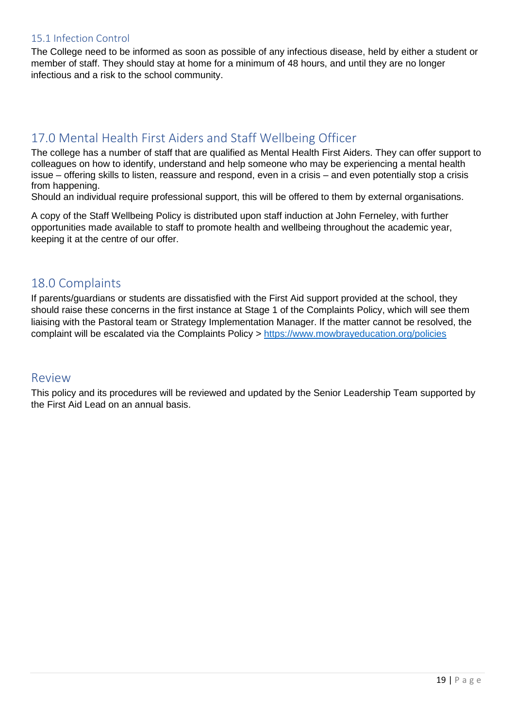#### <span id="page-18-0"></span>15.1 Infection Control

The College need to be informed as soon as possible of any infectious disease, held by either a student or member of staff. They should stay at home for a minimum of 48 hours, and until they are no longer infectious and a risk to the school community.

## <span id="page-18-1"></span>17.0 Mental Health First Aiders and Staff Wellbeing Officer

The college has a number of staff that are qualified as Mental Health First Aiders. They can offer support to colleagues on how to identify, understand and help someone who may be experiencing a mental health issue – offering skills to listen, reassure and respond, even in a crisis – and even potentially stop a crisis from happening.

Should an individual require professional support, this will be offered to them by external organisations.

A copy of the Staff Wellbeing Policy is distributed upon staff induction at John Ferneley, with further opportunities made available to staff to promote health and wellbeing throughout the academic year, keeping it at the centre of our offer.

#### <span id="page-18-2"></span>18.0 Complaints

If parents/guardians or students are dissatisfied with the First Aid support provided at the school, they should raise these concerns in the first instance at Stage 1 of the Complaints Policy, which will see them liaising with the Pastoral team or Strategy Implementation Manager. If the matter cannot be resolved, the complaint will be escalated via the Complaints Policy ><https://www.mowbrayeducation.org/policies>

### <span id="page-18-3"></span>Review

This policy and its procedures will be reviewed and updated by the Senior Leadership Team supported by the First Aid Lead on an annual basis.